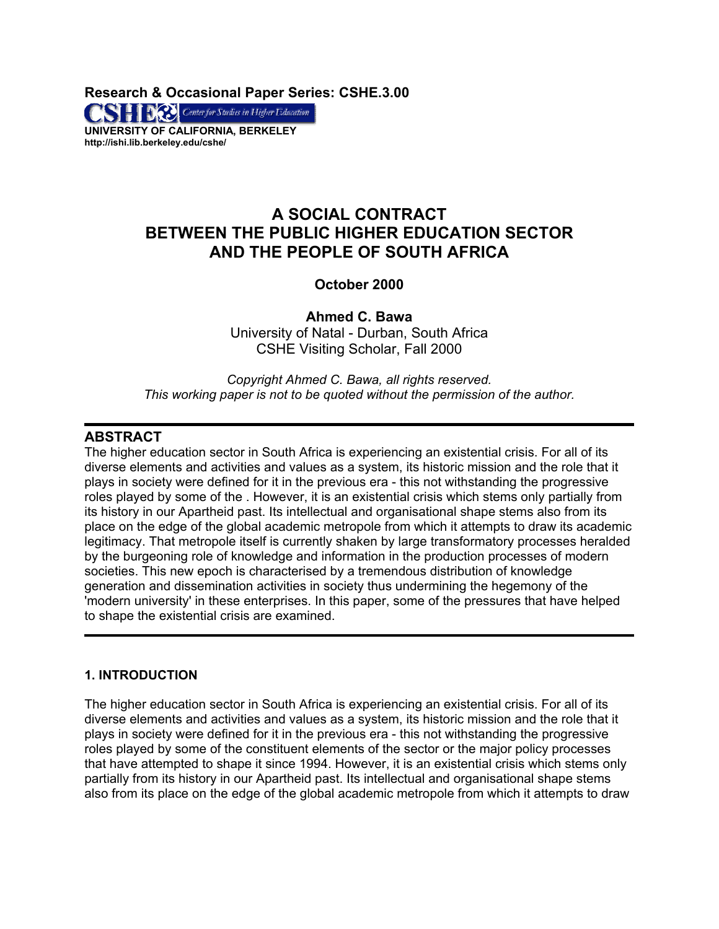**Research & Occasional Paper Series: CSHE.3.00** 

**CONTRACTE Center for Studies in Higher Education UNIVERSITY OF CALIFORNIA, BERKELEY http://ishi.lib.berkeley.edu/cshe/** 

# **A SOCIAL CONTRACT BETWEEN THE PUBLIC HIGHER EDUCATION SECTOR AND THE PEOPLE OF SOUTH AFRICA**

# **October 2000**

**Ahmed C. Bawa** University of Natal - Durban, South Africa CSHE Visiting Scholar, Fall 2000

*Copyright Ahmed C. Bawa, all rights reserved. This working paper is not to be quoted without the permission of the author.* 

# **ABSTRACT**

The higher education sector in South Africa is experiencing an existential crisis. For all of its diverse elements and activities and values as a system, its historic mission and the role that it plays in society were defined for it in the previous era - this not withstanding the progressive roles played by some of the . However, it is an existential crisis which stems only partially from its history in our Apartheid past. Its intellectual and organisational shape stems also from its place on the edge of the global academic metropole from which it attempts to draw its academic legitimacy. That metropole itself is currently shaken by large transformatory processes heralded by the burgeoning role of knowledge and information in the production processes of modern societies. This new epoch is characterised by a tremendous distribution of knowledge generation and dissemination activities in society thus undermining the hegemony of the 'modern university' in these enterprises. In this paper, some of the pressures that have helped to shape the existential crisis are examined.

# **1. INTRODUCTION**

The higher education sector in South Africa is experiencing an existential crisis. For all of its diverse elements and activities and values as a system, its historic mission and the role that it plays in society were defined for it in the previous era - this not withstanding the progressive roles played by some of the constituent elements of the sector or the major policy processes that have attempted to shape it since 1994. However, it is an existential crisis which stems only partially from its history in our Apartheid past. Its intellectual and organisational shape stems also from its place on the edge of the global academic metropole from which it attempts to draw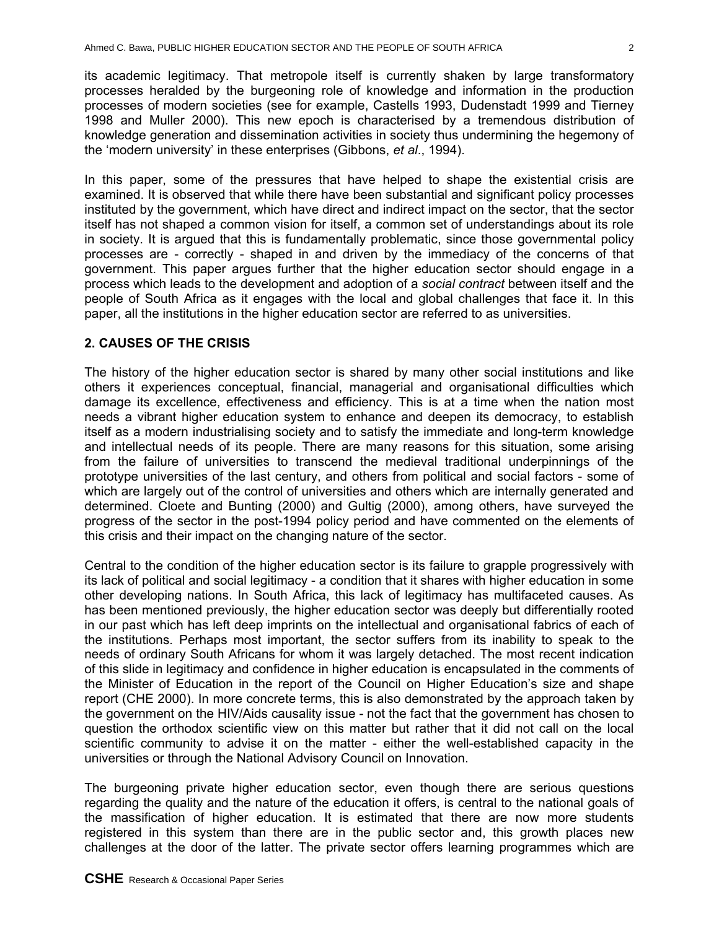its academic legitimacy. That metropole itself is currently shaken by large transformatory processes heralded by the burgeoning role of knowledge and information in the production processes of modern societies (see for example, Castells 1993, Dudenstadt 1999 and Tierney 1998 and Muller 2000). This new epoch is characterised by a tremendous distribution of knowledge generation and dissemination activities in society thus undermining the hegemony of the 'modern university' in these enterprises (Gibbons, *et al*., 1994).

In this paper, some of the pressures that have helped to shape the existential crisis are examined. It is observed that while there have been substantial and significant policy processes instituted by the government, which have direct and indirect impact on the sector, that the sector itself has not shaped a common vision for itself, a common set of understandings about its role in society. It is argued that this is fundamentally problematic, since those governmental policy processes are - correctly - shaped in and driven by the immediacy of the concerns of that government. This paper argues further that the higher education sector should engage in a process which leads to the development and adoption of a *social contract* between itself and the people of South Africa as it engages with the local and global challenges that face it. In this paper, all the institutions in the higher education sector are referred to as universities.

# **2. CAUSES OF THE CRISIS**

The history of the higher education sector is shared by many other social institutions and like others it experiences conceptual, financial, managerial and organisational difficulties which damage its excellence, effectiveness and efficiency. This is at a time when the nation most needs a vibrant higher education system to enhance and deepen its democracy, to establish itself as a modern industrialising society and to satisfy the immediate and long-term knowledge and intellectual needs of its people. There are many reasons for this situation, some arising from the failure of universities to transcend the medieval traditional underpinnings of the prototype universities of the last century, and others from political and social factors - some of which are largely out of the control of universities and others which are internally generated and determined. Cloete and Bunting (2000) and Gultig (2000), among others, have surveyed the progress of the sector in the post-1994 policy period and have commented on the elements of this crisis and their impact on the changing nature of the sector.

Central to the condition of the higher education sector is its failure to grapple progressively with its lack of political and social legitimacy - a condition that it shares with higher education in some other developing nations. In South Africa, this lack of legitimacy has multifaceted causes. As has been mentioned previously, the higher education sector was deeply but differentially rooted in our past which has left deep imprints on the intellectual and organisational fabrics of each of the institutions. Perhaps most important, the sector suffers from its inability to speak to the needs of ordinary South Africans for whom it was largely detached. The most recent indication of this slide in legitimacy and confidence in higher education is encapsulated in the comments of the Minister of Education in the report of the Council on Higher Education's size and shape report (CHE 2000). In more concrete terms, this is also demonstrated by the approach taken by the government on the HIV/Aids causality issue - not the fact that the government has chosen to question the orthodox scientific view on this matter but rather that it did not call on the local scientific community to advise it on the matter - either the well-established capacity in the universities or through the National Advisory Council on Innovation.

The burgeoning private higher education sector, even though there are serious questions regarding the quality and the nature of the education it offers, is central to the national goals of the massification of higher education. It is estimated that there are now more students registered in this system than there are in the public sector and, this growth places new challenges at the door of the latter. The private sector offers learning programmes which are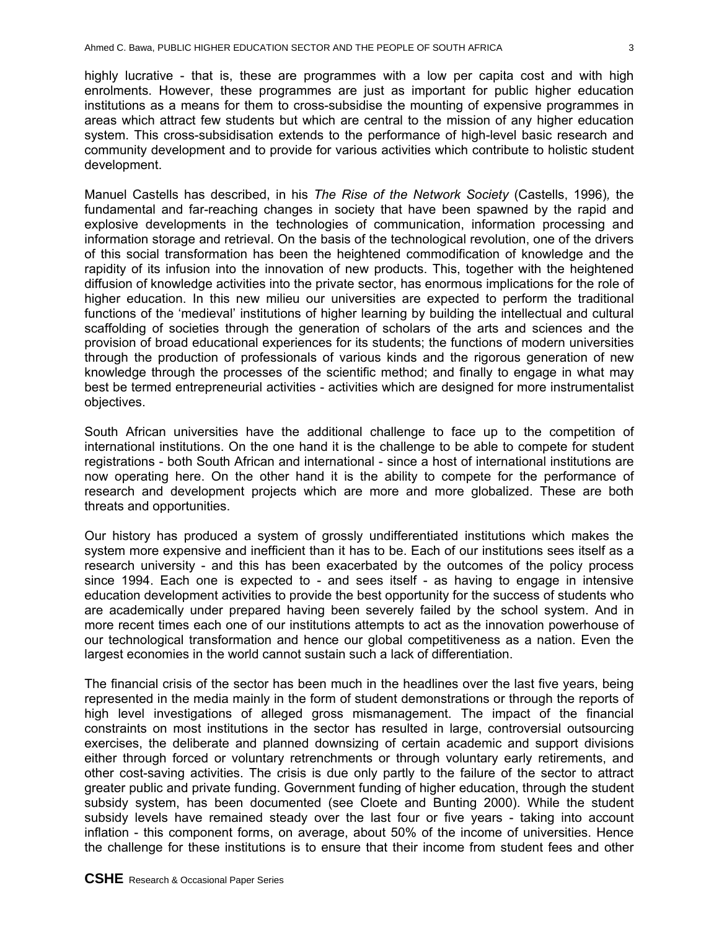highly lucrative - that is, these are programmes with a low per capita cost and with high enrolments. However, these programmes are just as important for public higher education institutions as a means for them to cross-subsidise the mounting of expensive programmes in areas which attract few students but which are central to the mission of any higher education system. This cross-subsidisation extends to the performance of high-level basic research and community development and to provide for various activities which contribute to holistic student development.

Manuel Castells has described, in his *The Rise of the Network Society* (Castells, 1996)*,* the fundamental and far-reaching changes in society that have been spawned by the rapid and explosive developments in the technologies of communication, information processing and information storage and retrieval. On the basis of the technological revolution, one of the drivers of this social transformation has been the heightened commodification of knowledge and the rapidity of its infusion into the innovation of new products. This, together with the heightened diffusion of knowledge activities into the private sector, has enormous implications for the role of higher education. In this new milieu our universities are expected to perform the traditional functions of the 'medieval' institutions of higher learning by building the intellectual and cultural scaffolding of societies through the generation of scholars of the arts and sciences and the provision of broad educational experiences for its students; the functions of modern universities through the production of professionals of various kinds and the rigorous generation of new knowledge through the processes of the scientific method; and finally to engage in what may best be termed entrepreneurial activities - activities which are designed for more instrumentalist objectives.

South African universities have the additional challenge to face up to the competition of international institutions. On the one hand it is the challenge to be able to compete for student registrations - both South African and international - since a host of international institutions are now operating here. On the other hand it is the ability to compete for the performance of research and development projects which are more and more globalized. These are both threats and opportunities.

Our history has produced a system of grossly undifferentiated institutions which makes the system more expensive and inefficient than it has to be. Each of our institutions sees itself as a research university - and this has been exacerbated by the outcomes of the policy process since 1994. Each one is expected to - and sees itself - as having to engage in intensive education development activities to provide the best opportunity for the success of students who are academically under prepared having been severely failed by the school system. And in more recent times each one of our institutions attempts to act as the innovation powerhouse of our technological transformation and hence our global competitiveness as a nation. Even the largest economies in the world cannot sustain such a lack of differentiation.

The financial crisis of the sector has been much in the headlines over the last five years, being represented in the media mainly in the form of student demonstrations or through the reports of high level investigations of alleged gross mismanagement. The impact of the financial constraints on most institutions in the sector has resulted in large, controversial outsourcing exercises, the deliberate and planned downsizing of certain academic and support divisions either through forced or voluntary retrenchments or through voluntary early retirements, and other cost-saving activities. The crisis is due only partly to the failure of the sector to attract greater public and private funding. Government funding of higher education, through the student subsidy system, has been documented (see Cloete and Bunting 2000). While the student subsidy levels have remained steady over the last four or five years - taking into account inflation - this component forms, on average, about 50% of the income of universities. Hence the challenge for these institutions is to ensure that their income from student fees and other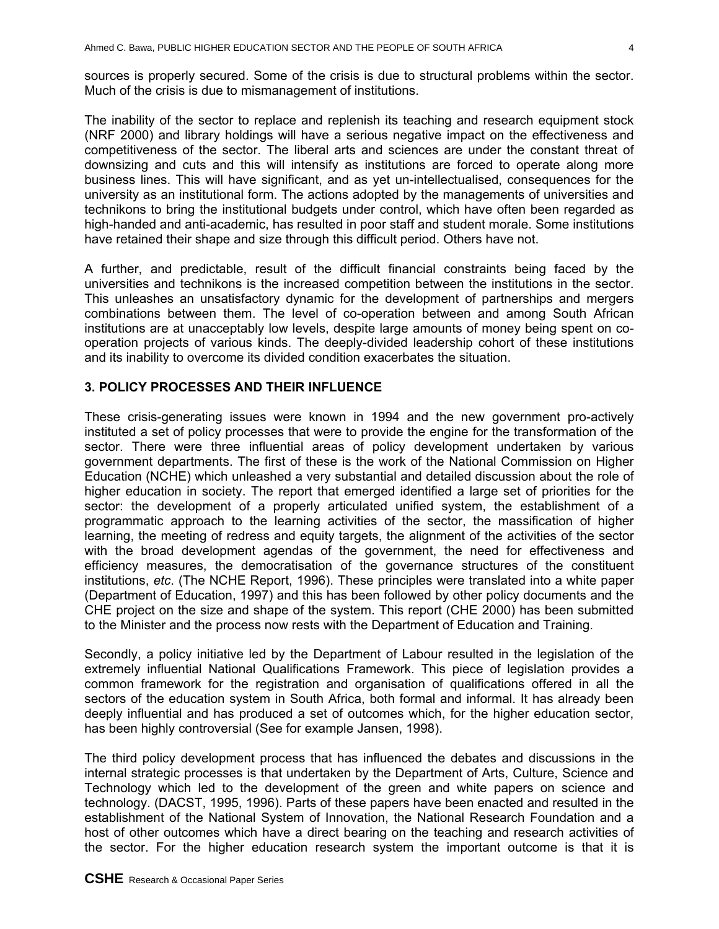sources is properly secured. Some of the crisis is due to structural problems within the sector. Much of the crisis is due to mismanagement of institutions.

The inability of the sector to replace and replenish its teaching and research equipment stock (NRF 2000) and library holdings will have a serious negative impact on the effectiveness and competitiveness of the sector. The liberal arts and sciences are under the constant threat of downsizing and cuts and this will intensify as institutions are forced to operate along more business lines. This will have significant, and as yet un-intellectualised, consequences for the university as an institutional form. The actions adopted by the managements of universities and technikons to bring the institutional budgets under control, which have often been regarded as high-handed and anti-academic, has resulted in poor staff and student morale. Some institutions have retained their shape and size through this difficult period. Others have not.

A further, and predictable, result of the difficult financial constraints being faced by the universities and technikons is the increased competition between the institutions in the sector. This unleashes an unsatisfactory dynamic for the development of partnerships and mergers combinations between them. The level of co-operation between and among South African institutions are at unacceptably low levels, despite large amounts of money being spent on cooperation projects of various kinds. The deeply-divided leadership cohort of these institutions and its inability to overcome its divided condition exacerbates the situation.

# **3. POLICY PROCESSES AND THEIR INFLUENCE**

These crisis-generating issues were known in 1994 and the new government pro-actively instituted a set of policy processes that were to provide the engine for the transformation of the sector. There were three influential areas of policy development undertaken by various government departments. The first of these is the work of the National Commission on Higher Education (NCHE) which unleashed a very substantial and detailed discussion about the role of higher education in society. The report that emerged identified a large set of priorities for the sector: the development of a properly articulated unified system, the establishment of a programmatic approach to the learning activities of the sector, the massification of higher learning, the meeting of redress and equity targets, the alignment of the activities of the sector with the broad development agendas of the government, the need for effectiveness and efficiency measures, the democratisation of the governance structures of the constituent institutions, *etc*. (The NCHE Report, 1996). These principles were translated into a white paper (Department of Education, 1997) and this has been followed by other policy documents and the CHE project on the size and shape of the system. This report (CHE 2000) has been submitted to the Minister and the process now rests with the Department of Education and Training.

Secondly, a policy initiative led by the Department of Labour resulted in the legislation of the extremely influential National Qualifications Framework. This piece of legislation provides a common framework for the registration and organisation of qualifications offered in all the sectors of the education system in South Africa, both formal and informal. It has already been deeply influential and has produced a set of outcomes which, for the higher education sector, has been highly controversial (See for example Jansen, 1998).

The third policy development process that has influenced the debates and discussions in the internal strategic processes is that undertaken by the Department of Arts, Culture, Science and Technology which led to the development of the green and white papers on science and technology. (DACST, 1995, 1996). Parts of these papers have been enacted and resulted in the establishment of the National System of Innovation, the National Research Foundation and a host of other outcomes which have a direct bearing on the teaching and research activities of the sector. For the higher education research system the important outcome is that it is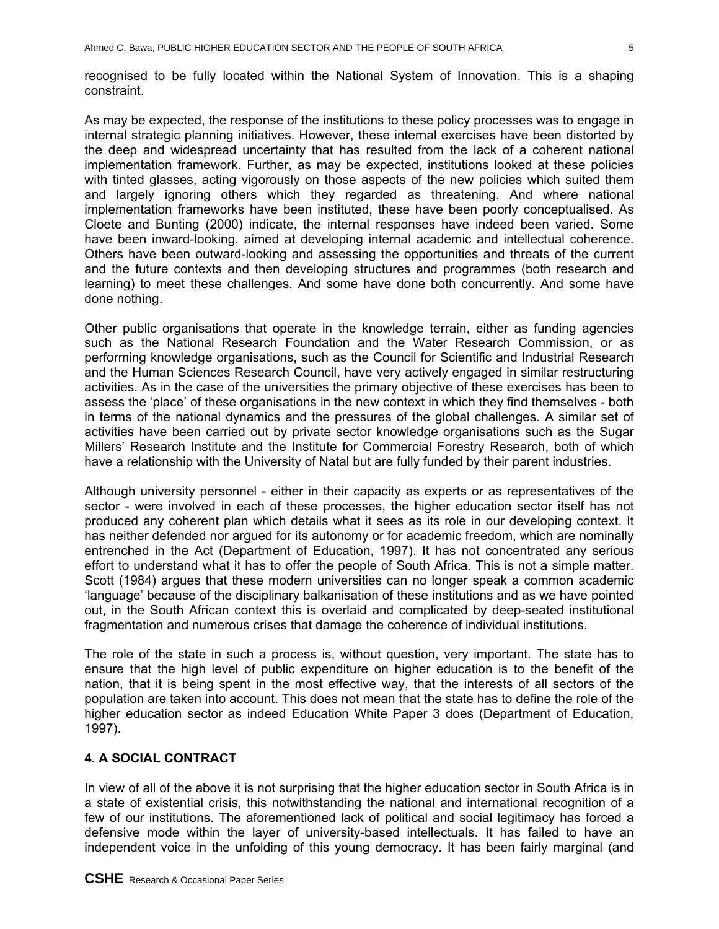recognised to be fully located within the National System of Innovation. This is a shaping constraint.

As may be expected, the response of the institutions to these policy processes was to engage in internal strategic planning initiatives. However, these internal exercises have been distorted by the deep and widespread uncertainty that has resulted from the lack of a coherent national implementation framework. Further, as may be expected, institutions looked at these policies with tinted glasses, acting vigorously on those aspects of the new policies which suited them and largely ignoring others which they regarded as threatening. And where national implementation frameworks have been instituted, these have been poorly conceptualised. As Cloete and Bunting (2000) indicate, the internal responses have indeed been varied. Some have been inward-looking, aimed at developing internal academic and intellectual coherence. Others have been outward-looking and assessing the opportunities and threats of the current and the future contexts and then developing structures and programmes (both research and learning) to meet these challenges. And some have done both concurrently. And some have done nothing.

Other public organisations that operate in the knowledge terrain, either as funding agencies such as the National Research Foundation and the Water Research Commission, or as performing knowledge organisations, such as the Council for Scientific and Industrial Research and the Human Sciences Research Council, have very actively engaged in similar restructuring activities. As in the case of the universities the primary objective of these exercises has been to assess the 'place' of these organisations in the new context in which they find themselves - both in terms of the national dynamics and the pressures of the global challenges. A similar set of activities have been carried out by private sector knowledge organisations such as the Sugar Millers' Research Institute and the Institute for Commercial Forestry Research, both of which have a relationship with the University of Natal but are fully funded by their parent industries.

Although university personnel - either in their capacity as experts or as representatives of the sector - were involved in each of these processes, the higher education sector itself has not produced any coherent plan which details what it sees as its role in our developing context. It has neither defended nor argued for its autonomy or for academic freedom, which are nominally entrenched in the Act (Department of Education, 1997). It has not concentrated any serious effort to understand what it has to offer the people of South Africa. This is not a simple matter. Scott (1984) argues that these modern universities can no longer speak a common academic 'language' because of the disciplinary balkanisation of these institutions and as we have pointed out, in the South African context this is overlaid and complicated by deep-seated institutional fragmentation and numerous crises that damage the coherence of individual institutions.

The role of the state in such a process is, without question, very important. The state has to ensure that the high level of public expenditure on higher education is to the benefit of the nation, that it is being spent in the most effective way, that the interests of all sectors of the population are taken into account. This does not mean that the state has to define the role of the higher education sector as indeed Education White Paper 3 does (Department of Education, 1997).

# **4. A SOCIAL CONTRACT**

In view of all of the above it is not surprising that the higher education sector in South Africa is in a state of existential crisis, this notwithstanding the national and international recognition of a few of our institutions. The aforementioned lack of political and social legitimacy has forced a defensive mode within the layer of university-based intellectuals. It has failed to have an independent voice in the unfolding of this young democracy. It has been fairly marginal (and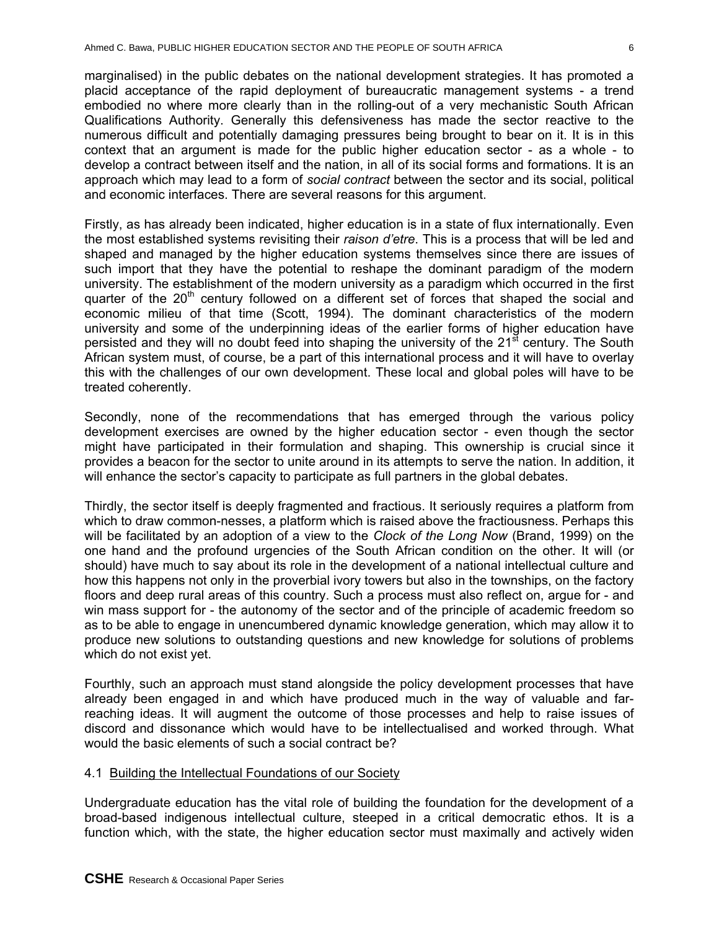marginalised) in the public debates on the national development strategies. It has promoted a placid acceptance of the rapid deployment of bureaucratic management systems - a trend embodied no where more clearly than in the rolling-out of a very mechanistic South African Qualifications Authority. Generally this defensiveness has made the sector reactive to the numerous difficult and potentially damaging pressures being brought to bear on it. It is in this context that an argument is made for the public higher education sector - as a whole - to develop a contract between itself and the nation, in all of its social forms and formations. It is an approach which may lead to a form of *social contract* between the sector and its social, political and economic interfaces. There are several reasons for this argument.

Firstly, as has already been indicated, higher education is in a state of flux internationally. Even the most established systems revisiting their *raison d'etre*. This is a process that will be led and shaped and managed by the higher education systems themselves since there are issues of such import that they have the potential to reshape the dominant paradigm of the modern university. The establishment of the modern university as a paradigm which occurred in the first quarter of the  $20<sup>th</sup>$  century followed on a different set of forces that shaped the social and economic milieu of that time (Scott, 1994). The dominant characteristics of the modern university and some of the underpinning ideas of the earlier forms of higher education have persisted and they will no doubt feed into shaping the university of the  $21<sup>st</sup>$  century. The South African system must, of course, be a part of this international process and it will have to overlay this with the challenges of our own development. These local and global poles will have to be treated coherently.

Secondly, none of the recommendations that has emerged through the various policy development exercises are owned by the higher education sector - even though the sector might have participated in their formulation and shaping. This ownership is crucial since it provides a beacon for the sector to unite around in its attempts to serve the nation. In addition, it will enhance the sector's capacity to participate as full partners in the global debates.

Thirdly, the sector itself is deeply fragmented and fractious. It seriously requires a platform from which to draw common-nesses, a platform which is raised above the fractiousness. Perhaps this will be facilitated by an adoption of a view to the *Clock of the Long Now* (Brand, 1999) on the one hand and the profound urgencies of the South African condition on the other. It will (or should) have much to say about its role in the development of a national intellectual culture and how this happens not only in the proverbial ivory towers but also in the townships, on the factory floors and deep rural areas of this country. Such a process must also reflect on, argue for - and win mass support for - the autonomy of the sector and of the principle of academic freedom so as to be able to engage in unencumbered dynamic knowledge generation, which may allow it to produce new solutions to outstanding questions and new knowledge for solutions of problems which do not exist yet.

Fourthly, such an approach must stand alongside the policy development processes that have already been engaged in and which have produced much in the way of valuable and farreaching ideas. It will augment the outcome of those processes and help to raise issues of discord and dissonance which would have to be intellectualised and worked through. What would the basic elements of such a social contract be?

# 4.1 Building the Intellectual Foundations of our Society

Undergraduate education has the vital role of building the foundation for the development of a broad-based indigenous intellectual culture, steeped in a critical democratic ethos. It is a function which, with the state, the higher education sector must maximally and actively widen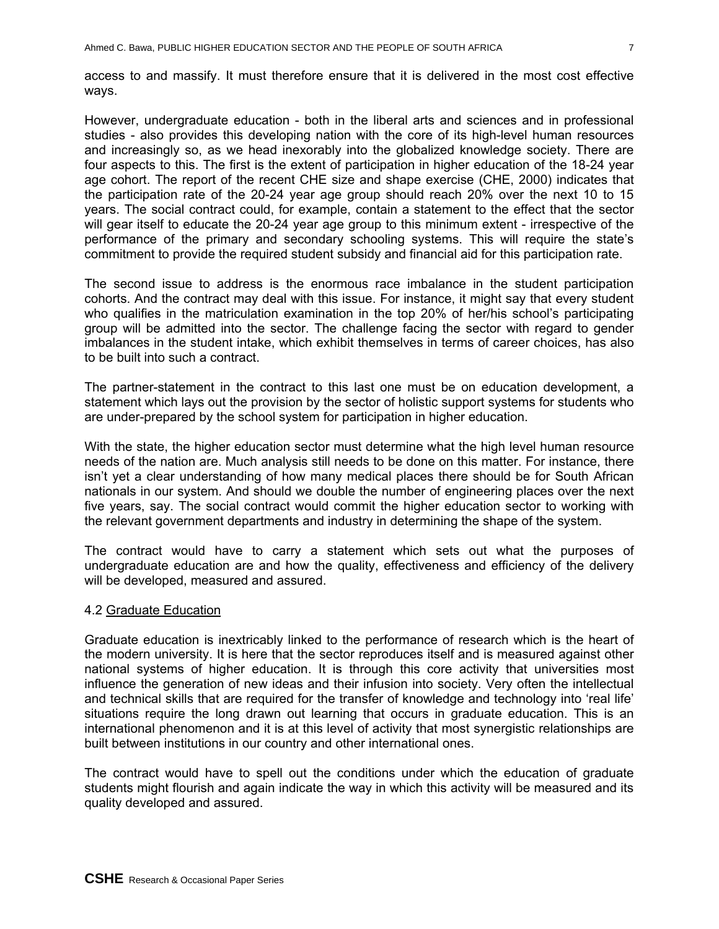access to and massify. It must therefore ensure that it is delivered in the most cost effective ways.

However, undergraduate education - both in the liberal arts and sciences and in professional studies - also provides this developing nation with the core of its high-level human resources and increasingly so, as we head inexorably into the globalized knowledge society. There are four aspects to this. The first is the extent of participation in higher education of the 18-24 year age cohort. The report of the recent CHE size and shape exercise (CHE, 2000) indicates that the participation rate of the 20-24 year age group should reach 20% over the next 10 to 15 years. The social contract could, for example, contain a statement to the effect that the sector will gear itself to educate the 20-24 year age group to this minimum extent - irrespective of the performance of the primary and secondary schooling systems. This will require the state's commitment to provide the required student subsidy and financial aid for this participation rate.

The second issue to address is the enormous race imbalance in the student participation cohorts. And the contract may deal with this issue. For instance, it might say that every student who qualifies in the matriculation examination in the top 20% of her/his school's participating group will be admitted into the sector. The challenge facing the sector with regard to gender imbalances in the student intake, which exhibit themselves in terms of career choices, has also to be built into such a contract.

The partner-statement in the contract to this last one must be on education development, a statement which lays out the provision by the sector of holistic support systems for students who are under-prepared by the school system for participation in higher education.

With the state, the higher education sector must determine what the high level human resource needs of the nation are. Much analysis still needs to be done on this matter. For instance, there isn't yet a clear understanding of how many medical places there should be for South African nationals in our system. And should we double the number of engineering places over the next five years, say. The social contract would commit the higher education sector to working with the relevant government departments and industry in determining the shape of the system.

The contract would have to carry a statement which sets out what the purposes of undergraduate education are and how the quality, effectiveness and efficiency of the delivery will be developed, measured and assured.

#### 4.2 Graduate Education

Graduate education is inextricably linked to the performance of research which is the heart of the modern university. It is here that the sector reproduces itself and is measured against other national systems of higher education. It is through this core activity that universities most influence the generation of new ideas and their infusion into society. Very often the intellectual and technical skills that are required for the transfer of knowledge and technology into 'real life' situations require the long drawn out learning that occurs in graduate education. This is an international phenomenon and it is at this level of activity that most synergistic relationships are built between institutions in our country and other international ones.

The contract would have to spell out the conditions under which the education of graduate students might flourish and again indicate the way in which this activity will be measured and its quality developed and assured.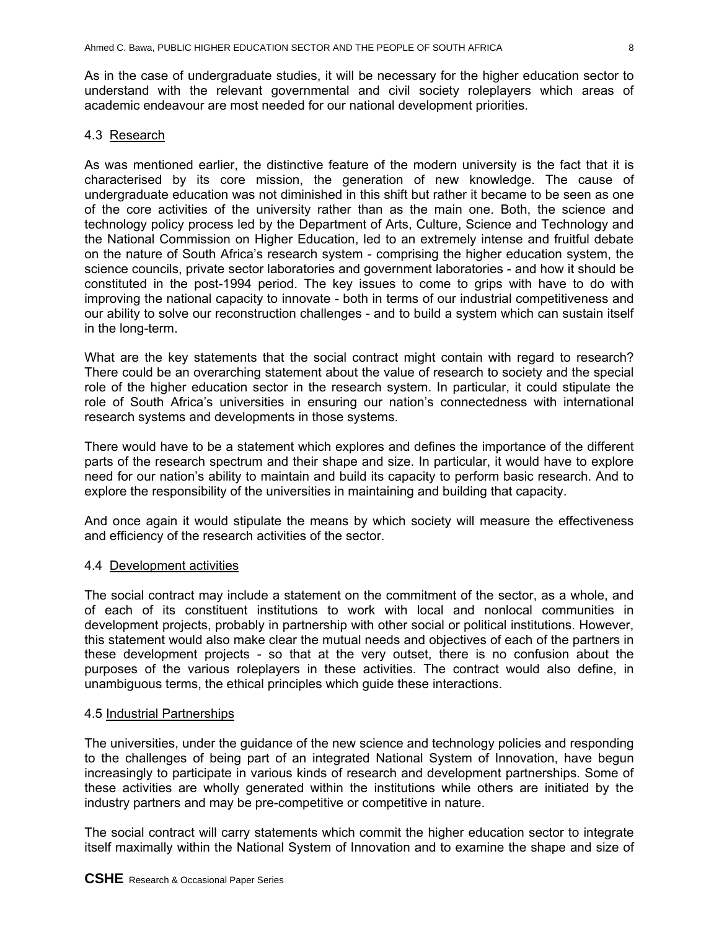As in the case of undergraduate studies, it will be necessary for the higher education sector to understand with the relevant governmental and civil society roleplayers which areas of academic endeavour are most needed for our national development priorities.

### 4.3 Research

As was mentioned earlier, the distinctive feature of the modern university is the fact that it is characterised by its core mission, the generation of new knowledge. The cause of undergraduate education was not diminished in this shift but rather it became to be seen as one of the core activities of the university rather than as the main one. Both, the science and technology policy process led by the Department of Arts, Culture, Science and Technology and the National Commission on Higher Education, led to an extremely intense and fruitful debate on the nature of South Africa's research system - comprising the higher education system, the science councils, private sector laboratories and government laboratories - and how it should be constituted in the post-1994 period. The key issues to come to grips with have to do with improving the national capacity to innovate - both in terms of our industrial competitiveness and our ability to solve our reconstruction challenges - and to build a system which can sustain itself in the long-term.

What are the key statements that the social contract might contain with regard to research? There could be an overarching statement about the value of research to society and the special role of the higher education sector in the research system. In particular, it could stipulate the role of South Africa's universities in ensuring our nation's connectedness with international research systems and developments in those systems.

There would have to be a statement which explores and defines the importance of the different parts of the research spectrum and their shape and size. In particular, it would have to explore need for our nation's ability to maintain and build its capacity to perform basic research. And to explore the responsibility of the universities in maintaining and building that capacity.

And once again it would stipulate the means by which society will measure the effectiveness and efficiency of the research activities of the sector.

#### 4.4 Development activities

The social contract may include a statement on the commitment of the sector, as a whole, and of each of its constituent institutions to work with local and nonlocal communities in development projects, probably in partnership with other social or political institutions. However, this statement would also make clear the mutual needs and objectives of each of the partners in these development projects - so that at the very outset, there is no confusion about the purposes of the various roleplayers in these activities. The contract would also define, in unambiguous terms, the ethical principles which guide these interactions.

#### 4.5 Industrial Partnerships

The universities, under the guidance of the new science and technology policies and responding to the challenges of being part of an integrated National System of Innovation, have begun increasingly to participate in various kinds of research and development partnerships. Some of these activities are wholly generated within the institutions while others are initiated by the industry partners and may be pre-competitive or competitive in nature.

The social contract will carry statements which commit the higher education sector to integrate itself maximally within the National System of Innovation and to examine the shape and size of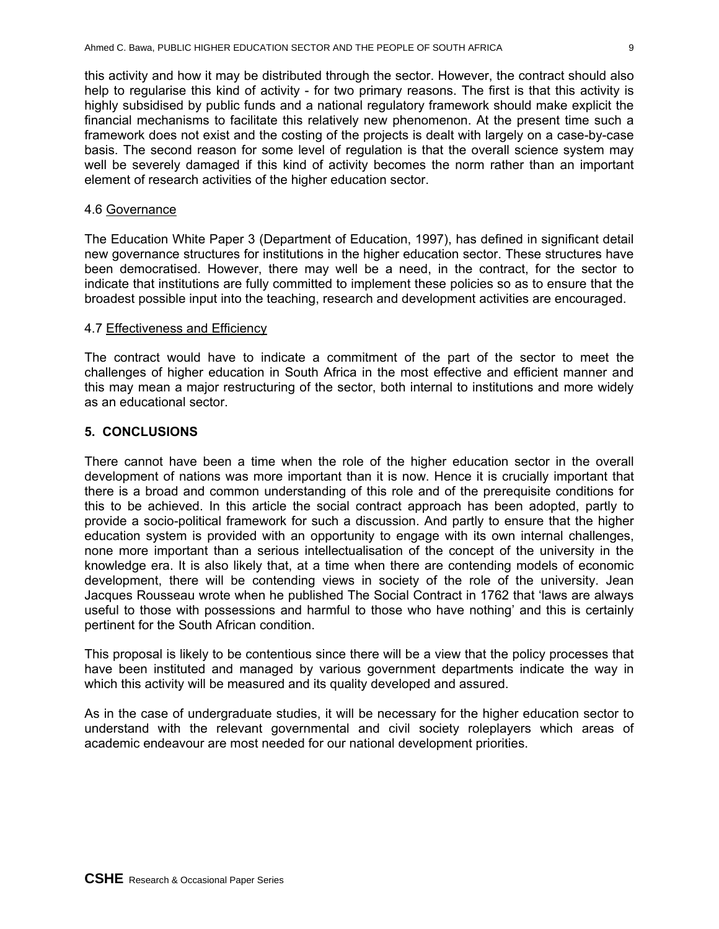this activity and how it may be distributed through the sector. However, the contract should also help to regularise this kind of activity - for two primary reasons. The first is that this activity is highly subsidised by public funds and a national regulatory framework should make explicit the financial mechanisms to facilitate this relatively new phenomenon. At the present time such a framework does not exist and the costing of the projects is dealt with largely on a case-by-case basis. The second reason for some level of regulation is that the overall science system may well be severely damaged if this kind of activity becomes the norm rather than an important element of research activities of the higher education sector.

#### 4.6 Governance

The Education White Paper 3 (Department of Education, 1997), has defined in significant detail new governance structures for institutions in the higher education sector. These structures have been democratised. However, there may well be a need, in the contract, for the sector to indicate that institutions are fully committed to implement these policies so as to ensure that the broadest possible input into the teaching, research and development activities are encouraged.

#### 4.7 Effectiveness and Efficiency

The contract would have to indicate a commitment of the part of the sector to meet the challenges of higher education in South Africa in the most effective and efficient manner and this may mean a major restructuring of the sector, both internal to institutions and more widely as an educational sector.

#### **5. CONCLUSIONS**

There cannot have been a time when the role of the higher education sector in the overall development of nations was more important than it is now. Hence it is crucially important that there is a broad and common understanding of this role and of the prerequisite conditions for this to be achieved. In this article the social contract approach has been adopted, partly to provide a socio-political framework for such a discussion. And partly to ensure that the higher education system is provided with an opportunity to engage with its own internal challenges, none more important than a serious intellectualisation of the concept of the university in the knowledge era. It is also likely that, at a time when there are contending models of economic development, there will be contending views in society of the role of the university. Jean Jacques Rousseau wrote when he published The Social Contract in 1762 that 'laws are always useful to those with possessions and harmful to those who have nothing' and this is certainly pertinent for the South African condition.

This proposal is likely to be contentious since there will be a view that the policy processes that have been instituted and managed by various government departments indicate the way in which this activity will be measured and its quality developed and assured.

As in the case of undergraduate studies, it will be necessary for the higher education sector to understand with the relevant governmental and civil society roleplayers which areas of academic endeavour are most needed for our national development priorities.